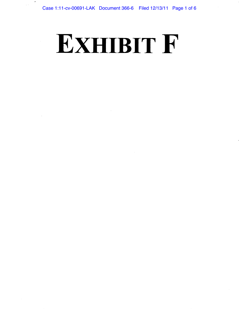# **EXHIBIT** F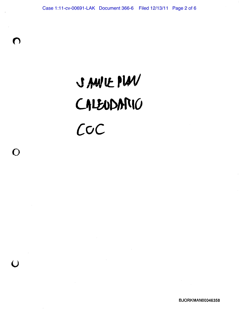# **3A44IEPU4I CALbor5pic)**  *coc*

 $\overline{\phantom{a}}$ 

 $\lceil \ \rceil$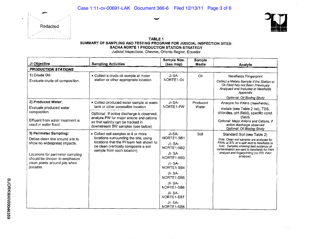



| Judicial Inspections, Chevron, Oriente Region, Ecuador                                                                                                                                                       |                                                                                                                                                                                                                                                  |                                                                                                                                                                                                  |                        |                                                                                                                                                                                                                                                                                                          |  |  |  |
|--------------------------------------------------------------------------------------------------------------------------------------------------------------------------------------------------------------|--------------------------------------------------------------------------------------------------------------------------------------------------------------------------------------------------------------------------------------------------|--------------------------------------------------------------------------------------------------------------------------------------------------------------------------------------------------|------------------------|----------------------------------------------------------------------------------------------------------------------------------------------------------------------------------------------------------------------------------------------------------------------------------------------------------|--|--|--|
| JI Objective                                                                                                                                                                                                 | <b>Sampling Activities</b>                                                                                                                                                                                                                       | Sample Nos.<br>(see map)                                                                                                                                                                         | <b>Sample</b><br>Media | Analyte                                                                                                                                                                                                                                                                                                  |  |  |  |
| <b>PRODUCTION STATIONS</b>                                                                                                                                                                                   |                                                                                                                                                                                                                                                  |                                                                                                                                                                                                  |                        |                                                                                                                                                                                                                                                                                                          |  |  |  |
| 1) Crude Oil:<br>Evaluate crude oil composition.                                                                                                                                                             | • Collect a crude oil sample at meter<br>station or other appropriate location                                                                                                                                                                   | JI-SA-<br>NORTE1-Oil                                                                                                                                                                             | Oil                    | Newfields Fingerprint<br>Collect a Metals Sample if the Station or<br>Oil Field has not Been Previously<br>Analyzed and Included in Newfields<br>Appendix<br>Optional: Oil Biodeg Study                                                                                                                  |  |  |  |
| 2) Produced Water:<br>Evaluate produced water<br>composition.<br>Effluent from water treatment is<br>used in water flood.                                                                                    | · Collect produced water sample at wash<br>tank or other accessible location<br>Optional: If active discharge is observed,<br>analyze PW for major anions and cations<br>so that salinity can be tracked in<br>downstream SW samples (see below) | JI-SA-<br>NORTE1-PW                                                                                                                                                                              | Produced<br>Water      | Analyze for PAHs (Newfields),<br>metals (see Table 2 list), TDS,<br>chlorides, pH (field), specific cond.<br>(field)<br>Optional: Major Anions and Cations, if<br>active discharge observed                                                                                                              |  |  |  |
| 3) Perimeter Sampling:<br>Define clean line around site to<br>show no widespread impacts.<br>Locations for perimeter sampling<br>should be chosen to emphasize<br>clean points around pits when<br>possible. | • Collect soil samples at 4 or more<br>locations surrounding the site, using<br>locations that the PI team has shown to<br>be clean (vertically composite a soil<br>sample from each location)                                                   | JI-SA-<br>NORTE1-SB1<br>JI-SA-<br>NORTE1-SB2<br>JI-SA-<br>NORTE1-SB3<br>$JI - SA-$<br>NORTE1-SB4<br>JI-SA-<br>NORTE1-SB5<br>JI-SA-<br>NORTE1-SB6<br>JI-SA-<br>NORTE1-SB7<br>JI-SA-<br>NORTE1-SB8 | Soil                   | Optional: Oil Biodeg Study<br>Standard Soil (see Table 2)<br>Note: Clean soil samples are analyzed for<br>PAHs at STL w/ a split sent to Newfields to<br>hold. Samples showing field evidence of<br>contamination are sent to Newfields for PAH<br>analysis and fingerprinting (no STL PAH<br>analysis). |  |  |  |

*CD* 

 $\sim$  . . .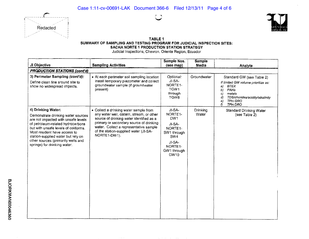





Judicial Inspections, Chevron, Oriente Region, Ecuador -- - - - I **Sample Nos. Sample .11 Objective** = **Sampling** Activities I **(see map) Media** = **Analyte\_\_\_\_\_\_\_\_\_\_\_ PRODUCTION STATIONS (cont'd)** 3) **Perimeter Sampling** *(cont'd):* • At each perimeter soil sampling location *Qptional:* Groundwater Standard GW (see Table 2) • Standard GW (see Table 2) • Standard GW (see Table 2) • Standard GW (see Table 2) • SA-Define clean line around site to install temporary piezometer and collect J1-SA-<br>
show no widespread impacts. groundwater sample (if groundwater NORTE1-<br>
a) BTEX groundwater sample (if groundwater **NORTE1- BTEX present**) a) BTEX<br>  $\begin{array}{c|c|c|c|c|c|c|c} \hline \text{p} & \text{m} & \text{m} & \text{m} & \text{m} \\ \hline \text{p} & \text{p} & \text{p} & \text{p} & \text{p} \\ \hline \end{array}$ present) TGW1 *b) PAHs*  through *c) metals d) TDS/chorides/acidity/alkalinity*<br>
a) *TPH GRO*<br>
<u>f) *TPH DRO* 2002</u> *e) TPH GRO*<br>*f) TPH DRO* 4) Drinking Water: **Collect a drinking water sample from** JI-SA- Drinking Standard Drinking Water Demonstrate drinking water sources any water well, cistern, stream, or other NORTE1- Water Water (see Table 2) Demonstrate drinking water sources  $\begin{vmatrix} \text{any water well, cistern, stream, or other} \\ \text{some not imparted with unsafe levels} \end{vmatrix}$ - Source of drinking water identified as a DW1 are not impacted with unsafe levels source of drinking water identified as a of perimary or secondary source of drinking of petroleum-related hydrocarbons primary or secondary source of drinking JI-SA-<br>but with unsafe levels of coliforms water. Collect a representative sample but with unsafe levels of coliforms. water. Collect a representative sample NORTE1-<br>Most resident have access to fine station-supplied water (JI-SA-<br>SW1 through of the station-supplied water (JI-SA-<br>NORTE1-DW1). SW1 through SW4 station-supplied water but rely on other sources (primarily wells and JI-SA-<br>springs) for drinking water. NORTE1-GW1 through GW 10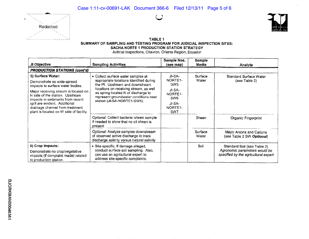



Judicial Inspections, Chevron, Oriente Region, Ecuador

| JI Objective                                                                                                        | <b>Sampling Activities</b>                                                                                                                            | Sample Nos.<br>(see map)                        | <b>Sample</b><br>Media | Analyte                                                                                              |
|---------------------------------------------------------------------------------------------------------------------|-------------------------------------------------------------------------------------------------------------------------------------------------------|-------------------------------------------------|------------------------|------------------------------------------------------------------------------------------------------|
| <b>PRODUCTION STATIONS (cont'd)</b>                                                                                 |                                                                                                                                                       |                                                 |                        |                                                                                                      |
| 5) Surface Water:<br>Demonstrate no wide-spread<br>impacts to surface water bodies.                                 | • Collect surface water samples at<br>appropriate locations identified during<br>the PI. Upstream and downstream                                      | JI-SA-<br>NORTE <sub>1</sub><br>SW <sub>5</sub> | Surface<br>Water       | Standard Surface Water<br>(see Table 2)                                                              |
| Major receiving stream is located on<br>N side of the station. Upstream<br>impacts in sediments from recent         | locations on receiving stream, as well<br>as spring located N of discharge to<br>represent groundwater conditions near                                | JI-SA-<br>NORTE1-<br>SW <sub>6</sub>            |                        |                                                                                                      |
| spill are evident. Additional<br>drainage channel from treatment<br>plant is located on W side of facility.         | station (JI-SA-NORTE1-SW5).                                                                                                                           | JI-SA-<br>NORTE1-<br>SW7                        |                        |                                                                                                      |
|                                                                                                                     | Optional: Collect bacterial sheen sample<br>if needed to show that no oil sheen is<br>present                                                         |                                                 | Sheen                  | Organic Fingerprint                                                                                  |
|                                                                                                                     | Optional: Analyze samples downstream<br>of observed active discharge to track<br>discharge salinity versus natural salinity                           |                                                 | Surface<br>Water       | Major Anions and Cations<br>(see Table 2 SW Optional)                                                |
| 6) Crop Impacts:<br>Demonstrate no crop/vegetative<br>impacts (if complaint made) related<br>to production station. | • Site-specific. If damage alleged,<br>conduct surface soil sampling. Also,<br>can use an agricultural expert to<br>address site-specific complaints. |                                                 | Soil                   | Standard Soil (see Table 2)<br>Agronomic parameters would be<br>specified by the agricultural expert |